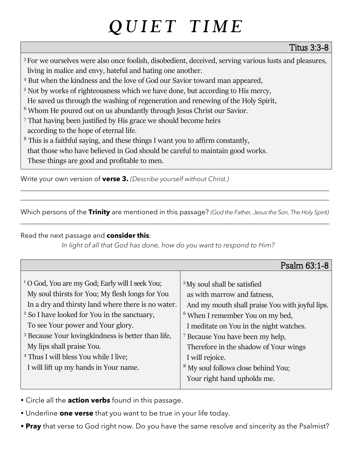# QUIET TIME

#### Titus 3:3-8

- <sup>3</sup> For we ourselves were also once foolish, disobedient, deceived, serving various lusts and pleasures, living in malice and envy, hateful and hating one another.
- <sup>4</sup> But when the kindness and the love of God our Savior toward man appeared,
- <sup>5</sup> Not by works of righteousness which we have done, but according to His mercy,
- He saved us through the washing of regeneration and renewing of the Holy Spirit,
- <sup>6</sup> Whom He poured out on us abundantly through Jesus Christ our Savior.
- <sup>7</sup> That having been justified by His grace we should become heirs
- according to the hope of eternal life.
- <sup>8</sup> This is a faithful saying, and these things I want you to affirm constantly,
- that those who have believed in God should be careful to maintain good works.
- These things are good and profitable to men.

Write your own version of **verse 3.** *(Describe yourself without Christ.)*

Which persons of the **Trinity** are mentioned in this passage? *(God the Father, Jesus the Son, The Holy Spirit)* \_\_\_\_\_\_\_\_\_\_\_\_\_\_\_\_\_\_\_\_\_\_\_\_\_\_\_\_\_\_\_\_\_\_\_\_\_\_\_\_\_\_\_\_\_\_\_\_\_\_\_\_\_\_\_\_\_\_\_\_\_\_\_\_\_\_\_\_\_\_\_\_\_\_\_\_\_\_\_\_\_\_\_\_\_\_\_\_\_\_

\_\_\_\_\_\_\_\_\_\_\_\_\_\_\_\_\_\_\_\_\_\_\_\_\_\_\_\_\_\_\_\_\_\_\_\_\_\_\_\_\_\_\_\_\_\_\_\_\_\_\_\_\_\_\_\_\_\_\_\_\_\_\_\_\_\_\_\_\_\_\_\_\_\_\_\_\_\_\_\_\_\_\_\_\_\_\_\_\_\_ \_\_\_\_\_\_\_\_\_\_\_\_\_\_\_\_\_\_\_\_\_\_\_\_\_\_\_\_\_\_\_\_\_\_\_\_\_\_\_\_\_\_\_\_\_\_\_\_\_\_\_\_\_\_\_\_\_\_\_\_\_\_\_\_\_\_\_\_\_\_\_\_\_\_\_\_\_\_\_\_\_\_\_\_\_\_\_\_\_\_

Read the next passage and **consider this**:

*In light of all that God has done, how do you want to respond to Him?*

|                                                                | Psalm 63:1-8                                    |
|----------------------------------------------------------------|-------------------------------------------------|
|                                                                |                                                 |
| <sup>1</sup> O God, You are my God; Early will I seek You;     | <sup>5</sup> My soul shall be satisfied         |
| My soul thirsts for You; My flesh longs for You                | as with marrow and fatness,                     |
| In a dry and thirsty land where there is no water.             | And my mouth shall praise You with joyful lips. |
| <sup>2</sup> So I have looked for You in the sanctuary,        | <sup>6</sup> When I remember You on my bed,     |
| To see Your power and Your glory.                              | I meditate on You in the night watches.         |
| <sup>3</sup> Because Your loving kindness is better than life, | <sup>7</sup> Because You have been my help,     |
| My lips shall praise You.                                      | Therefore in the shadow of Your wings           |
| <sup>4</sup> Thus I will bless You while I live;               | I will rejoice.                                 |
| I will lift up my hands in Your name.                          | <sup>8</sup> My soul follows close behind You;  |
|                                                                | Your right hand upholds me.                     |

- Circle all the **action verbs** found in this passage.
- Underline **one verse** that you want to be true in your life today.
- **Pray** that verse to God right now. Do you have the same resolve and sincerity as the Psalmist?